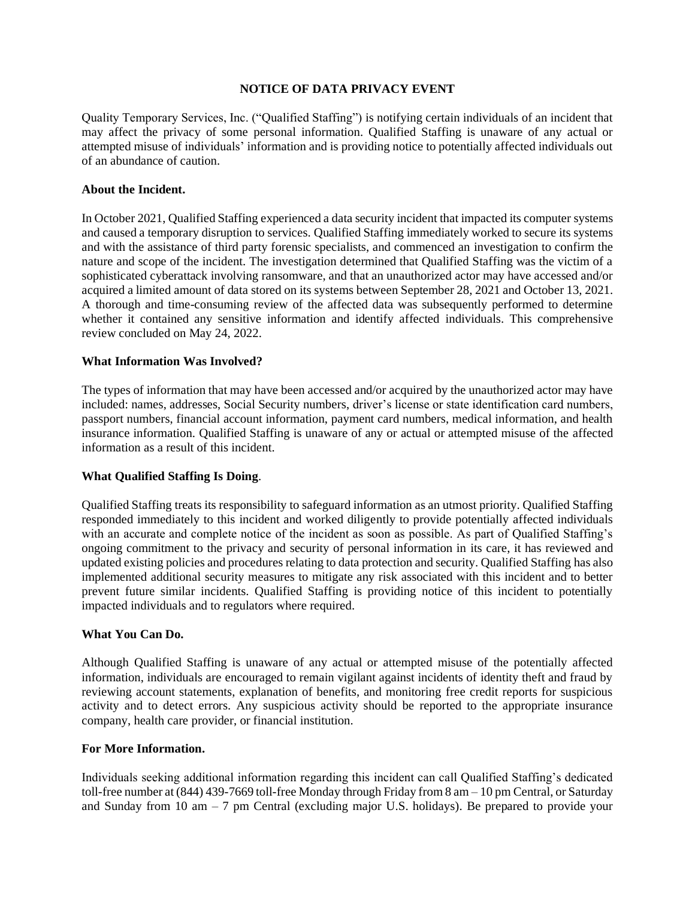## **NOTICE OF DATA PRIVACY EVENT**

Quality Temporary Services, Inc. ("Qualified Staffing") is notifying certain individuals of an incident that may affect the privacy of some personal information. Qualified Staffing is unaware of any actual or attempted misuse of individuals' information and is providing notice to potentially affected individuals out of an abundance of caution.

# **About the Incident.**

In October 2021, Qualified Staffing experienced a data security incident that impacted its computer systems and caused a temporary disruption to services. Qualified Staffing immediately worked to secure its systems and with the assistance of third party forensic specialists, and commenced an investigation to confirm the nature and scope of the incident. The investigation determined that Qualified Staffing was the victim of a sophisticated cyberattack involving ransomware, and that an unauthorized actor may have accessed and/or acquired a limited amount of data stored on its systems between September 28, 2021 and October 13, 2021. A thorough and time-consuming review of the affected data was subsequently performed to determine whether it contained any sensitive information and identify affected individuals. This comprehensive review concluded on May 24, 2022.

## **What Information Was Involved?**

The types of information that may have been accessed and/or acquired by the unauthorized actor may have included: names, addresses, Social Security numbers, driver's license or state identification card numbers, passport numbers, financial account information, payment card numbers, medical information, and health insurance information. Qualified Staffing is unaware of any or actual or attempted misuse of the affected information as a result of this incident.

# **What Qualified Staffing Is Doing**.

Qualified Staffing treats its responsibility to safeguard information as an utmost priority. Qualified Staffing responded immediately to this incident and worked diligently to provide potentially affected individuals with an accurate and complete notice of the incident as soon as possible. As part of Qualified Staffing's ongoing commitment to the privacy and security of personal information in its care, it has reviewed and updated existing policies and procedures relating to data protection and security. Qualified Staffing has also implemented additional security measures to mitigate any risk associated with this incident and to better prevent future similar incidents. Qualified Staffing is providing notice of this incident to potentially impacted individuals and to regulators where required.

#### **What You Can Do.**

Although Qualified Staffing is unaware of any actual or attempted misuse of the potentially affected information, individuals are encouraged to remain vigilant against incidents of identity theft and fraud by reviewing account statements, explanation of benefits, and monitoring free credit reports for suspicious activity and to detect errors. Any suspicious activity should be reported to the appropriate insurance company, health care provider, or financial institution.

### **For More Information.**

Individuals seeking additional information regarding this incident can call Qualified Staffing's dedicated toll-free number at (844) 439-7669 toll-free Monday through Friday from 8 am – 10 pm Central, or Saturday and Sunday from 10 am  $-7$  pm Central (excluding major U.S. holidays). Be prepared to provide your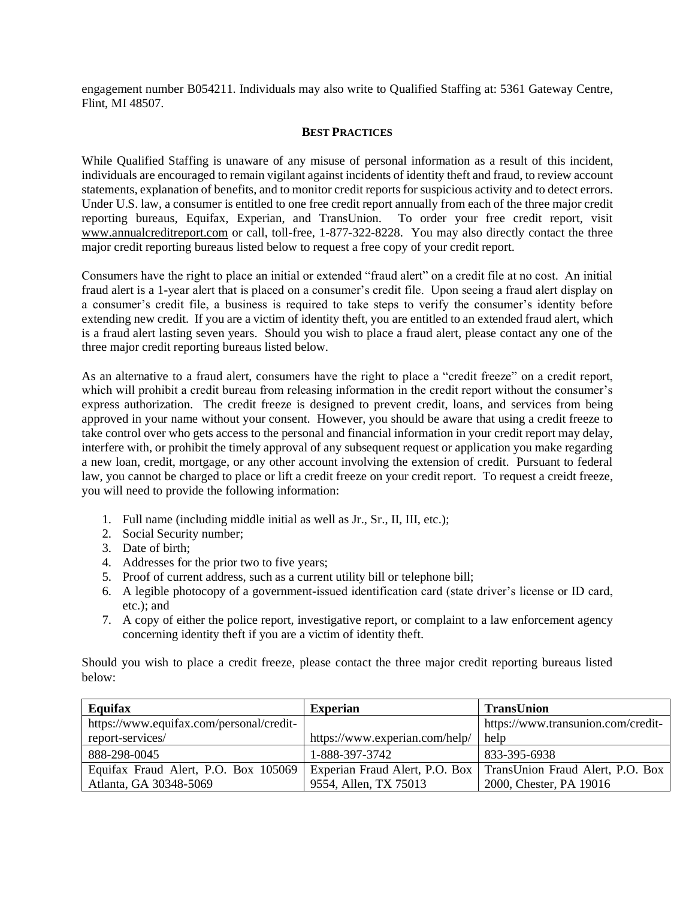engagement number B054211. Individuals may also write to Qualified Staffing at: 5361 Gateway Centre, Flint, MI 48507.

# **BEST PRACTICES**

While Qualified Staffing is unaware of any misuse of personal information as a result of this incident, individuals are encouraged to remain vigilant against incidents of identity theft and fraud, to review account statements, explanation of benefits, and to monitor credit reports for suspicious activity and to detect errors. Under U.S. law, a consumer is entitled to one free credit report annually from each of the three major credit reporting bureaus, Equifax, Experian, and TransUnion. To order your free credit report, visit www.annualcreditreport.com or call, toll-free, 1-877-322-8228. You may also directly contact the three major credit reporting bureaus listed below to request a free copy of your credit report.

Consumers have the right to place an initial or extended "fraud alert" on a credit file at no cost. An initial fraud alert is a 1-year alert that is placed on a consumer's credit file. Upon seeing a fraud alert display on a consumer's credit file, a business is required to take steps to verify the consumer's identity before extending new credit. If you are a victim of identity theft, you are entitled to an extended fraud alert, which is a fraud alert lasting seven years. Should you wish to place a fraud alert, please contact any one of the three major credit reporting bureaus listed below.

As an alternative to a fraud alert, consumers have the right to place a "credit freeze" on a credit report, which will prohibit a credit bureau from releasing information in the credit report without the consumer's express authorization. The credit freeze is designed to prevent credit, loans, and services from being approved in your name without your consent. However, you should be aware that using a credit freeze to take control over who gets access to the personal and financial information in your credit report may delay, interfere with, or prohibit the timely approval of any subsequent request or application you make regarding a new loan, credit, mortgage, or any other account involving the extension of credit. Pursuant to federal law, you cannot be charged to place or lift a credit freeze on your credit report. To request a creidt freeze, you will need to provide the following information:

- 1. Full name (including middle initial as well as Jr., Sr., II, III, etc.);
- 2. Social Security number;
- 3. Date of birth;
- 4. Addresses for the prior two to five years;
- 5. Proof of current address, such as a current utility bill or telephone bill;
- 6. A legible photocopy of a government-issued identification card (state driver's license or ID card, etc.); and
- 7. A copy of either the police report, investigative report, or complaint to a law enforcement agency concerning identity theft if you are a victim of identity theft.

Should you wish to place a credit freeze, please contact the three major credit reporting bureaus listed below:

| Equifax                                  | <b>Experian</b>                | <b>TransUnion</b>                                                 |
|------------------------------------------|--------------------------------|-------------------------------------------------------------------|
| https://www.equifax.com/personal/credit- |                                | https://www.transunion.com/credit-                                |
| report-services/                         | https://www.experian.com/help/ | help                                                              |
| 888-298-0045                             | 1-888-397-3742                 | 833-395-6938                                                      |
| Equifax Fraud Alert, P.O. Box 105069     |                                | Experian Fraud Alert, P.O. Box   TransUnion Fraud Alert, P.O. Box |
| Atlanta, GA 30348-5069                   | 9554, Allen, TX 75013          | 2000, Chester, PA 19016                                           |